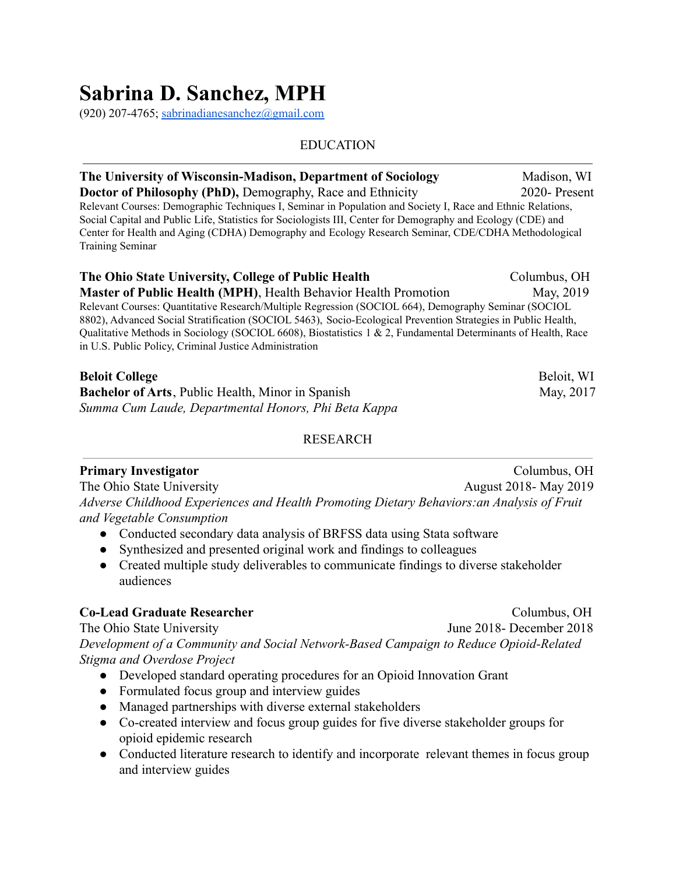# **Sabrina D. Sanchez, MPH**

(920) 207-4765; [sabrinadianesanchez@gmail.com](mailto:sabrinadianesanchez@gmail.com)

### EDUCATION

| The University of Wisconsin-Madison, Department of Sociology                                                                                                                                                                | Madison, WI  |
|-----------------------------------------------------------------------------------------------------------------------------------------------------------------------------------------------------------------------------|--------------|
| <b>Doctor of Philosophy (PhD), Demography, Race and Ethnicity</b>                                                                                                                                                           | 2020-Present |
| Relevant Courses: Demographic Techniques I, Seminar in Population and Society I, Race and Ethnic Relations,<br>Social Capital and Public Life, Statistics for Sociologists III, Center for Demography and Ecology (CDE) and |              |
| Center for Health and Aging (CDHA) Demography and Ecology Research Seminar, CDE/CDHA Methodological<br><b>Training Seminar</b>                                                                                              |              |
| The Ohio State University, College of Public Health                                                                                                                                                                         | Columbus, OH |
| <b>Master of Public Health (MPH), Health Behavior Health Promotion</b>                                                                                                                                                      | May, 2019    |
| Relevant Courses: Quantitative Research/Multiple Regression (SOCIOL 664), Demography Seminar (SOCIOL                                                                                                                        |              |
| 8802), Advanced Social Stratification (SOCIOL 5463), Socio-Ecological Prevention Strategies in Public Health,                                                                                                               |              |

Qualitative Methods in Sociology (SOCIOL 6608), Biostatistics 1 & 2, Fundamental Determinants of Health, Race in U.S. Public Policy, Criminal Justice Administration

| <b>Beloit College</b>                                    | Beloit, WI |
|----------------------------------------------------------|------------|
| <b>Bachelor of Arts, Public Health, Minor in Spanish</b> | May, 2017  |
| Summa Cum Laude, Departmental Honors, Phi Beta Kappa     |            |

### **RESEARCH**

### **Primary Investigator** Columbus, OH

The Ohio State University August 2018- May 2019 *Adverse Childhood Experiences and Health Promoting Dietary Behaviors:an Analysis of Fruit and Vegetable Consumption*

- Conducted secondary data analysis of BRFSS data using Stata software
- Synthesized and presented original work and findings to colleagues
- Created multiple study deliverables to communicate findings to diverse stakeholder audiences

### **Co-Lead Graduate Researcher** Columbus, OH

The Ohio State University June 2018- December 2018 *Development of a Community and Social Network-Based Campaign to Reduce Opioid-Related Stigma and Overdose Project*

- Developed standard operating procedures for an Opioid Innovation Grant
- Formulated focus group and interview guides
- Managed partnerships with diverse external stakeholders
- Co-created interview and focus group guides for five diverse stakeholder groups for opioid epidemic research
- Conducted literature research to identify and incorporate relevant themes in focus group and interview guides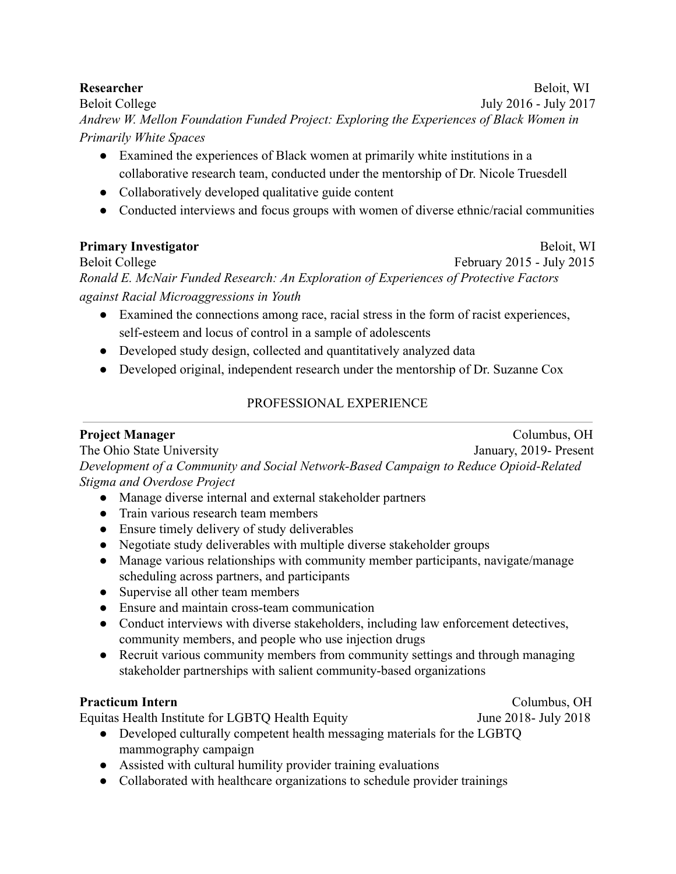### **Researcher** Beloit, WI

Beloit College July 2016 - July 2017 *Andrew W. Mellon Foundation Funded Project: Exploring the Experiences of Black Women in Primarily White Spaces*

- Examined the experiences of Black women at primarily white institutions in a collaborative research team, conducted under the mentorship of Dr. Nicole Truesdell
- Collaboratively developed qualitative guide content
- Conducted interviews and focus groups with women of diverse ethnic/racial communities

## **Primary Investigator Beloit**, WI

Beloit College February 2015 - July 2015

*Ronald E. McNair Funded Research: An Exploration of Experiences of Protective Factors against Racial Microaggressions in Youth*

- Examined the connections among race, racial stress in the form of racist experiences, self-esteem and locus of control in a sample of adolescents
- Developed study design, collected and quantitatively analyzed data
- Developed original, independent research under the mentorship of Dr. Suzanne Cox

# PROFESSIONAL EXPERIENCE

### **Project Manager** Columbus, OH The Ohio State University January, 2019- Present *Development of a Community and Social Network-Based Campaign to Reduce Opioid-Related Stigma and Overdose Project*

- Manage diverse internal and external stakeholder partners
- Train various research team members
- Ensure timely delivery of study deliverables
- Negotiate study deliverables with multiple diverse stakeholder groups
- Manage various relationships with community member participants, navigate/manage scheduling across partners, and participants
- Supervise all other team members
- Ensure and maintain cross-team communication
- Conduct interviews with diverse stakeholders, including law enforcement detectives, community members, and people who use injection drugs
- Recruit various community members from community settings and through managing stakeholder partnerships with salient community-based organizations

# **Practicum Intern** Columbus, OH

Equitas Health Institute for LGBTQ Health Equity June 2018- July 2018

- Developed culturally competent health messaging materials for the LGBTQ mammography campaign
- Assisted with cultural humility provider training evaluations
- Collaborated with healthcare organizations to schedule provider trainings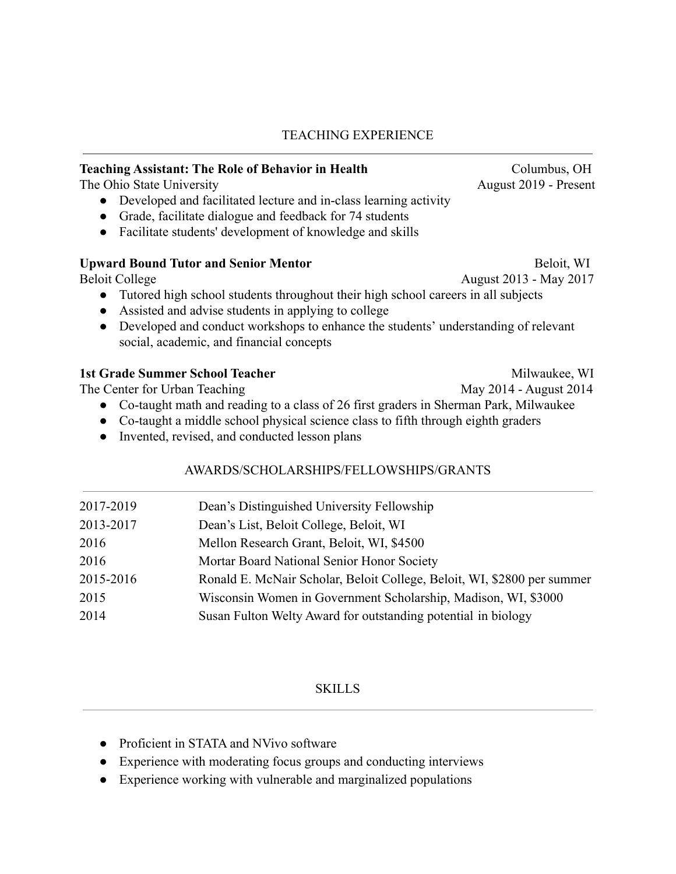### TEACHING EXPERIENCE

### **Teaching Assistant: The Role of Behavior in Health Columbus, Columbus, OH**

The Ohio State University August 2019 - Present

- Developed and facilitated lecture and in-class learning activity
- Grade, facilitate dialogue and feedback for 74 students
- Facilitate students' development of knowledge and skills

### Upward Bound Tutor and Senior Mentor **Beloit**, WI

Beloit College August 2013 - May 2017

- Tutored high school students throughout their high school careers in all subjects
- Assisted and advise students in applying to college
- Developed and conduct workshops to enhance the students' understanding of relevant social, academic, and financial concepts

### **1st Grade Summer School Teacher Milwaukee, WI Alle According to According the Milwaukee, WI Alle According to According the Milwaukee, WI Alle According to According the Milwaukee, WI Alle According to According the Milwa**

The Center for Urban Teaching May 2014 - August 2014

- Co-taught math and reading to a class of 26 first graders in Sherman Park, Milwaukee
- Co-taught a middle school physical science class to fifth through eighth graders
- Invented, revised, and conducted lesson plans

### AWARDS/SCHOLARSHIPS/FELLOWSHIPS/GRANTS

| 2017-2019 | Dean's Distinguished University Fellowship                              |
|-----------|-------------------------------------------------------------------------|
| 2013-2017 | Dean's List, Beloit College, Beloit, WI                                 |
| 2016      | Mellon Research Grant, Beloit, WI, \$4500                               |
| 2016      | Mortar Board National Senior Honor Society                              |
| 2015-2016 | Ronald E. McNair Scholar, Beloit College, Beloit, WI, \$2800 per summer |
| 2015      | Wisconsin Women in Government Scholarship, Madison, WI, \$3000          |
| 2014      | Susan Fulton Welty Award for outstanding potential in biology           |
|           |                                                                         |

### **SKILLS**

- Proficient in STATA and NVivo software
- Experience with moderating focus groups and conducting interviews
- Experience working with vulnerable and marginalized populations